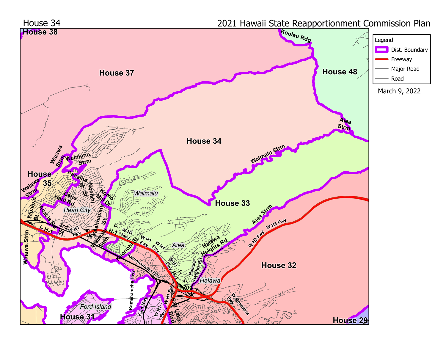